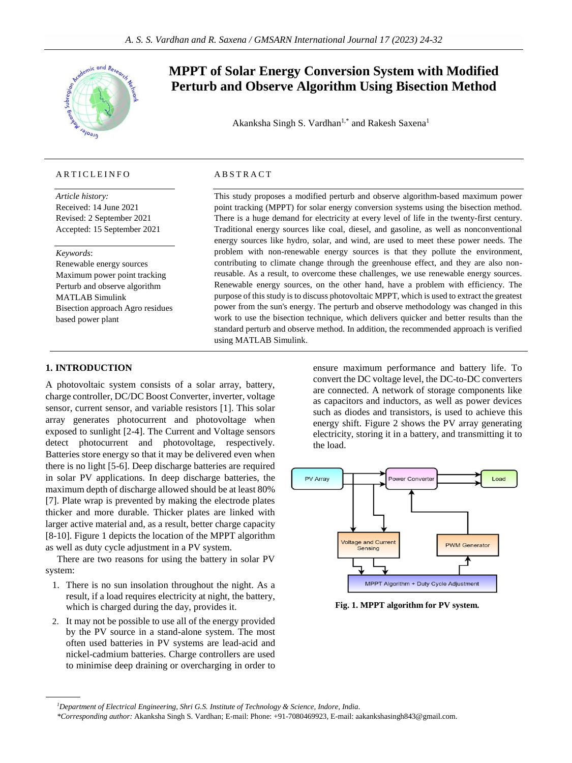

# **MPPT of Solar Energy Conversion System with Modified Perturb and Observe Algorithm Using Bisection Method**

Akanksha Singh S. Vardhan<sup>1,\*</sup> and Rakesh Saxena<sup>1</sup>

# **ARTICLEINFO**

*Article history:* Received: 14 June 2021 Revised: 2 September 2021 Accepted: 15 September 2021

#### *Keywords*:

Renewable energy sources Maximum power point tracking Perturb and observe algorithm MATLAB Simulink Bisection approach Agro residues based power plant

# A B S T R A C T

This study proposes a modified perturb and observe algorithm-based maximum power point tracking (MPPT) for solar energy conversion systems using the bisection method. There is a huge demand for electricity at every level of life in the twenty-first century. Traditional energy sources like coal, diesel, and gasoline, as well as nonconventional energy sources like hydro, solar, and wind, are used to meet these power needs. The problem with non-renewable energy sources is that they pollute the environment, contributing to climate change through the greenhouse effect, and they are also nonreusable. As a result, to overcome these challenges, we use renewable energy sources. Renewable energy sources, on the other hand, have a problem with efficiency. The purpose of this study is to discuss photovoltaic MPPT, which is used to extract the greatest power from the sun's energy. The perturb and observe methodology was changed in this work to use the bisection technique, which delivers quicker and better results than the standard perturb and observe method. In addition, the recommended approach is verified using MATLAB Simulink.

# **1. INTRODUCTION**

A photovoltaic system consists of a solar array, battery, charge controller, DC/DC Boost Converter, inverter, voltage sensor, current sensor, and variable resistors [1]. This solar array generates photocurrent and photovoltage when exposed to sunlight [2-4]. The Current and Voltage sensors detect photocurrent and photovoltage, respectively. Batteries store energy so that it may be delivered even when there is no light [5-6]. Deep discharge batteries are required in solar PV applications. In deep discharge batteries, the maximum depth of discharge allowed should be at least 80% [7]. Plate wrap is prevented by making the electrode plates thicker and more durable. Thicker plates are linked with larger active material and, as a result, better charge capacity [8-10]. Figure 1 depicts the location of the MPPT algorithm as well as duty cycle adjustment in a PV system.

There are two reasons for using the battery in solar PV system:

- 1. There is no sun insolation throughout the night. As a result, if a load requires electricity at night, the battery, which is charged during the day, provides it.
- 2. It may not be possible to use all of the energy provided by the PV source in a stand-alone system. The most often used batteries in PV systems are lead-acid and nickel-cadmium batteries. Charge controllers are used to minimise deep draining or overcharging in order to

ensure maximum performance and battery life. To convert the DC voltage level, the DC-to-DC converters are connected. A network of storage components like as capacitors and inductors, as well as power devices such as diodes and transistors, is used to achieve this energy shift. Figure 2 shows the PV array generating electricity, storing it in a battery, and transmitting it to the load.



**Fig. 1. MPPT algorithm for PV system.**

*<sup>1</sup>Department of Electrical Engineering, Shri G.S. Institute of Technology & Science, Indore, India. \*Corresponding author:* Akanksha Singh S. Vardhan; E-mail: Phone: +91-7080469923, E-mail[: aakankshasingh843@gmail.com.](mailto:aakankshasingh843@gmail.com)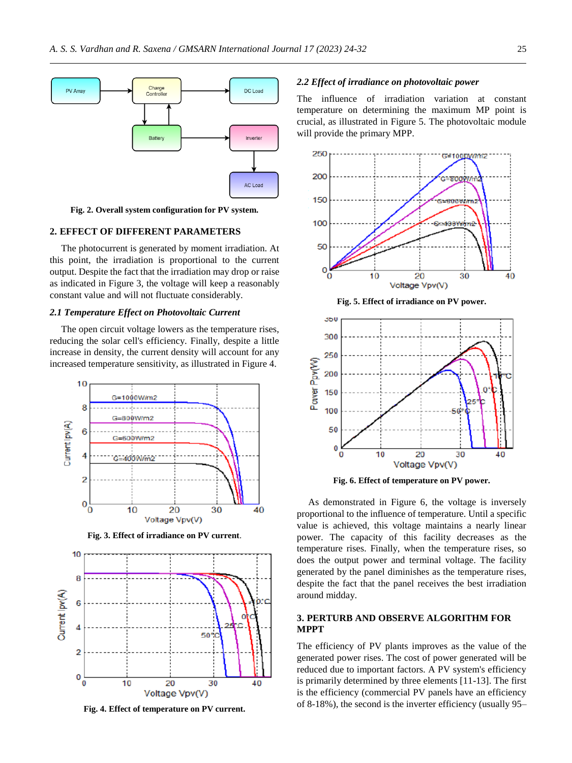

**Fig. 2. Overall system configuration for PV system.**

## **2. EFFECT OF DIFFERENT PARAMETERS**

The photocurrent is generated by moment irradiation. At this point, the irradiation is proportional to the current output. Despite the fact that the irradiation may drop or raise as indicated in Figure 3, the voltage will keep a reasonably constant value and will not fluctuate considerably.

#### *2.1 Temperature Effect on Photovoltaic Current*

The open circuit voltage lowers as the temperature rises, reducing the solar cell's efficiency. Finally, despite a little increase in density, the current density will account for any increased temperature sensitivity, as illustrated in Figure 4.



**Fig. 3. Effect of irradiance on PV current**.



**Fig. 4. Effect of temperature on PV current.**

### *2.2 Effect of irradiance on photovoltaic power*

The influence of irradiation variation at constant temperature on determining the maximum MP point is crucial, as illustrated in Figure 5. The photovoltaic module will provide the primary MPP.



**Fig. 5. Effect of irradiance on PV power.**



**Fig. 6. Effect of temperature on PV power.**

As demonstrated in Figure 6, the voltage is inversely proportional to the influence of temperature. Until a specific value is achieved, this voltage maintains a nearly linear power. The capacity of this facility decreases as the temperature rises. Finally, when the temperature rises, so does the output power and terminal voltage. The facility generated by the panel diminishes as the temperature rises, despite the fact that the panel receives the best irradiation around midday.

## **3. PERTURB AND OBSERVE ALGORITHM FOR MPPT**

The efficiency of PV plants improves as the value of the generated power rises. The cost of power generated will be reduced due to important factors. A PV system's efficiency is primarily determined by three elements [11-13]. The first is the efficiency (commercial PV panels have an efficiency of 8-18%), the second is the inverter efficiency (usually 95–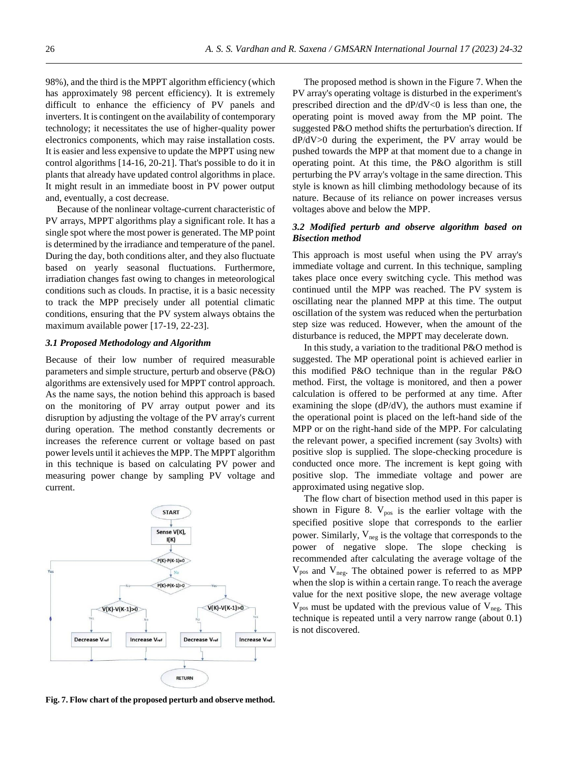98%), and the third is the MPPT algorithm efficiency (which has approximately 98 percent efficiency). It is extremely difficult to enhance the efficiency of PV panels and inverters. It is contingent on the availability of contemporary technology; it necessitates the use of higher-quality power electronics components, which may raise installation costs. It is easier and less expensive to update the MPPT using new control algorithms [14-16, 20-21]. That's possible to do it in plants that already have updated control algorithms in place. It might result in an immediate boost in PV power output and, eventually, a cost decrease.

Because of the nonlinear voltage-current characteristic of PV arrays, MPPT algorithms play a significant role. It has a single spot where the most power is generated. The MP point is determined by the irradiance and temperature of the panel. During the day, both conditions alter, and they also fluctuate based on yearly seasonal fluctuations. Furthermore, irradiation changes fast owing to changes in meteorological conditions such as clouds. In practise, it is a basic necessity to track the MPP precisely under all potential climatic conditions, ensuring that the PV system always obtains the maximum available power [17-19, 22-23].

#### *3.1 Proposed Methodology and Algorithm*

Because of their low number of required measurable parameters and simple structure, perturb and observe (P&O) algorithms are extensively used for MPPT control approach. As the name says, the notion behind this approach is based on the monitoring of PV array output power and its disruption by adjusting the voltage of the PV array's current during operation. The method constantly decrements or increases the reference current or voltage based on past power levels until it achieves the MPP. The MPPT algorithm in this technique is based on calculating PV power and measuring power change by sampling PV voltage and current.



The proposed method is shown in the Figure 7. When the PV array's operating voltage is disturbed in the experiment's prescribed direction and the  $dP/dV < 0$  is less than one, the operating point is moved away from the MP point. The suggested P&O method shifts the perturbation's direction. If dP/dV>0 during the experiment, the PV array would be pushed towards the MPP at that moment due to a change in operating point. At this time, the P&O algorithm is still perturbing the PV array's voltage in the same direction. This style is known as hill climbing methodology because of its nature. Because of its reliance on power increases versus voltages above and below the MPP.

## *3.2 Modified perturb and observe algorithm based on Bisection method*

This approach is most useful when using the PV array's immediate voltage and current. In this technique, sampling takes place once every switching cycle. This method was continued until the MPP was reached. The PV system is oscillating near the planned MPP at this time. The output oscillation of the system was reduced when the perturbation step size was reduced. However, when the amount of the disturbance is reduced, the MPPT may decelerate down.

In this study, a variation to the traditional P&O method is suggested. The MP operational point is achieved earlier in this modified P&O technique than in the regular P&O method. First, the voltage is monitored, and then a power calculation is offered to be performed at any time. After examining the slope (dP/dV), the authors must examine if the operational point is placed on the left-hand side of the MPP or on the right-hand side of the MPP. For calculating the relevant power, a specified increment (say 3volts) with positive slop is supplied. The slope-checking procedure is conducted once more. The increment is kept going with positive slop. The immediate voltage and power are approximated using negative slop.

The flow chart of bisection method used in this paper is shown in Figure 8.  $V_{pos}$  is the earlier voltage with the specified positive slope that corresponds to the earlier power. Similarly,  $V_{neg}$  is the voltage that corresponds to the power of negative slope. The slope checking is recommended after calculating the average voltage of the  $V_{pos}$  and  $V_{neg}$ . The obtained power is referred to as MPP when the slop is within a certain range. To reach the average value for the next positive slope, the new average voltage  $V_{pos}$  must be updated with the previous value of  $V_{neg}$ . This technique is repeated until a very narrow range (about 0.1) is not discovered.

**Fig. 7. Flow chart of the proposed perturb and observe method.**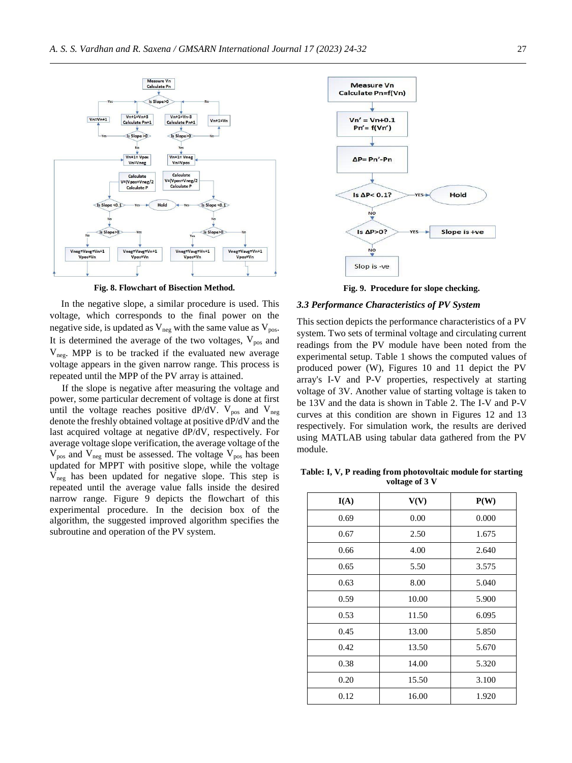

**Fig. 8. Flowchart of Bisection Method.**

In the negative slope, a similar procedure is used. This voltage, which corresponds to the final power on the negative side, is updated as  $V_{\text{neg}}$  with the same value as  $V_{\text{pos}}$ . It is determined the average of the two voltages,  $V_{pos}$  and  $V_{\text{neg}}$ . MPP is to be tracked if the evaluated new average voltage appears in the given narrow range. This process is repeated until the MPP of the PV array is attained.

 If the slope is negative after measuring the voltage and power, some particular decrement of voltage is done at first until the voltage reaches positive dP/dV.  $V_{pos}$  and  $V_{neg}$ denote the freshly obtained voltage at positive dP/dV and the last acquired voltage at negative dP/dV, respectively. For average voltage slope verification, the average voltage of the  $V_{pos}$  and  $V_{neg}$  must be assessed. The voltage  $V_{pos}$  has been updated for MPPT with positive slope, while the voltage  $V_{\text{neg}}$  has been updated for negative slope. This step is repeated until the average value falls inside the desired narrow range. Figure 9 depicts the flowchart of this experimental procedure. In the decision box of the algorithm, the suggested improved algorithm specifies the subroutine and operation of the PV system.



**Fig. 9. Procedure for slope checking.**

## *3.3 Performance Characteristics of PV System*

This section depicts the performance characteristics of a PV system. Two sets of terminal voltage and circulating current readings from the PV module have been noted from the experimental setup. Table 1 shows the computed values of produced power (W), Figures 10 and 11 depict the PV array's I-V and P-V properties, respectively at starting voltage of 3V. Another value of starting voltage is taken to be 13V and the data is shown in Table 2. The I-V and P-V curves at this condition are shown in Figures 12 and 13 respectively. For simulation work, the results are derived using MATLAB using tabular data gathered from the PV module.

**Table: I, V, P reading from photovoltaic module for starting voltage of 3 V**

| I(A) | V(V)  | P(W)  |
|------|-------|-------|
| 0.69 | 0.00  | 0.000 |
| 0.67 | 2.50  | 1.675 |
| 0.66 | 4.00  | 2.640 |
| 0.65 | 5.50  | 3.575 |
| 0.63 | 8.00  | 5.040 |
| 0.59 | 10.00 | 5.900 |
| 0.53 | 11.50 | 6.095 |
| 0.45 | 13.00 | 5.850 |
| 0.42 | 13.50 | 5.670 |
| 0.38 | 14.00 | 5.320 |
| 0.20 | 15.50 | 3.100 |
| 0.12 | 16.00 | 1.920 |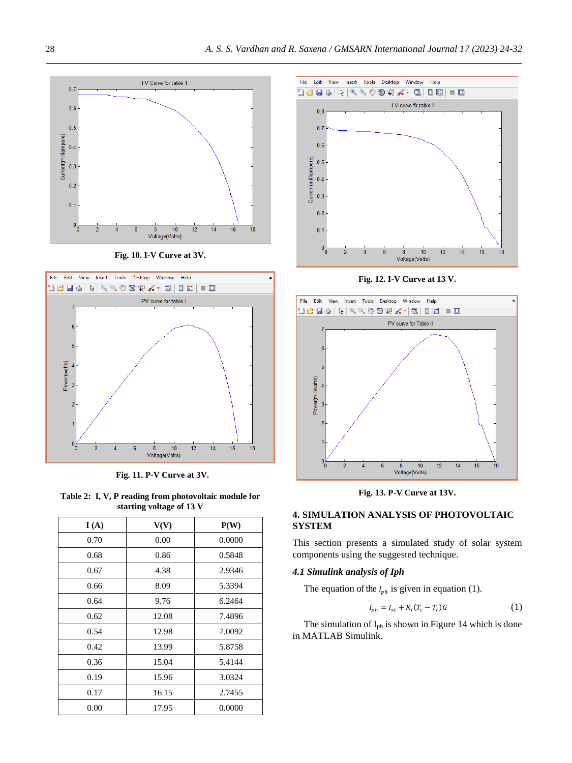

**Fig. 10. I-V Curve at 3V.** 



 **Fig. 11. P-V Curve at 3V.**

**Table 2: I, V, P reading from photovoltaic module for starting voltage of 13 V**

| I(A) | V(V)  | P(W)   |
|------|-------|--------|
| 0.70 | 0.00  | 0.0000 |
| 0.68 | 0.86  | 0.5848 |
| 0.67 | 4.38  | 2.9346 |
| 0.66 | 8.09  | 5.3394 |
| 0.64 | 9.76  | 6.2464 |
| 0.62 | 12.08 | 7.4896 |
| 0.54 | 12.98 | 7.0092 |
| 0.42 | 13.99 | 5.8758 |
| 0.36 | 15.04 | 5.4144 |
| 0.19 | 15.96 | 3.0324 |
| 0.17 | 16.15 | 2.7455 |
| 0.00 | 17.95 | 0.0000 |



**Fig. 12. I-V Curve at 13 V.**



**Fig. 13. P-V Curve at 13V.** 

# **4. SIMULATION ANALYSIS OF PHOTOVOLTAIC SYSTEM**

This section presents a simulated study of solar system components using the suggested technique.

## *4.1 Simulink analysis of Iph*

The equation of the  $I_{ph}$  is given in equation (1).

$$
I_{ph} = I_{sc} + K_i (T_c - T_r) G \tag{1}
$$

The simulation of Iph is shown in Figure 14 which is done in MATLAB Simulink.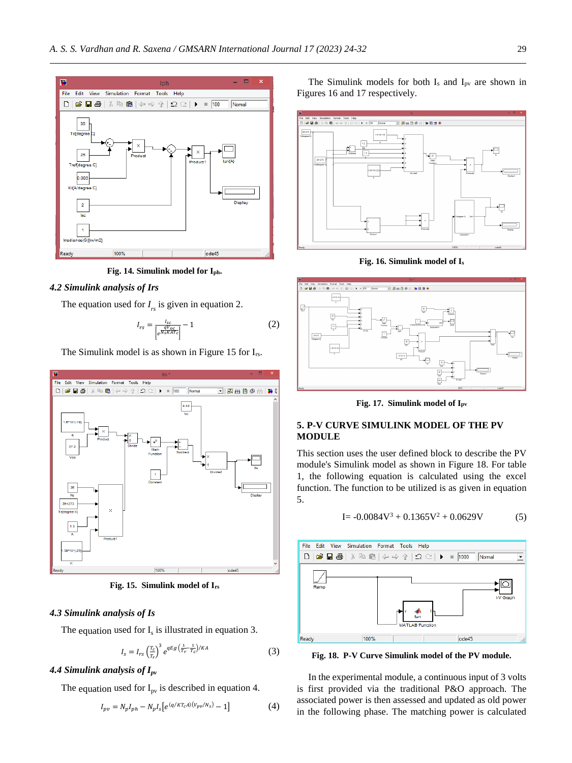

**Fig. 14. Simulink model for Iph.**

## *4.2 Simulink analysis of Irs*

The equation used for  $I_{rs}$  is given in equation 2.

$$
I_{rs} = \frac{I_{sc}}{\left[e^{\frac{qV_{oc}}{N_s K A T_c}}\right]} - 1\tag{2}
$$

The Simulink model is as shown in Figure 15 for  $I_{rs}$ .



**Fig. 15. Simulink model of Irs**

### *4.3 Simulink analysis of Is*

The equation used for  $I_s$  is illustrated in equation 3.

$$
I_s = I_{rs} \left(\frac{T_c}{T_r}\right)^3 e^{qEg} \left(\frac{1}{T_r} - \frac{1}{T_c}\right) / KA \tag{3}
$$

## *4.4 Simulink analysis of Ipv*

The equation used for  $I_{pv}$  is described in equation 4.

$$
I_{pv} = N_p I_{ph} - N_p I_s \left[ e^{(q/KT_c A)(V_{pv}/N_s)} - 1 \right] \tag{4}
$$

The Simulink models for both  $I_s$  and  $I_{pv}$  are shown in Figures 16 and 17 respectively.



**Fig. 16. Simulink model of I<sup>s</sup>**



**Fig. 17. Simulink model of Ipv**

## **5. P-V CURVE SIMULINK MODEL OF THE PV MODULE**

This section uses the user defined block to describe the PV module's Simulink model as shown in Figure 18. For table 1, the following equation is calculated using the excel function. The function to be utilized is as given in equation 5.

$$
I = -0.0084V^3 + 0.1365V^2 + 0.0629V
$$
 (5)



**Fig. 18. P-V Curve Simulink model of the PV module.**

In the experimental module, a continuous input of 3 volts is first provided via the traditional P&O approach. The associated power is then assessed and updated as old power in the following phase. The matching power is calculated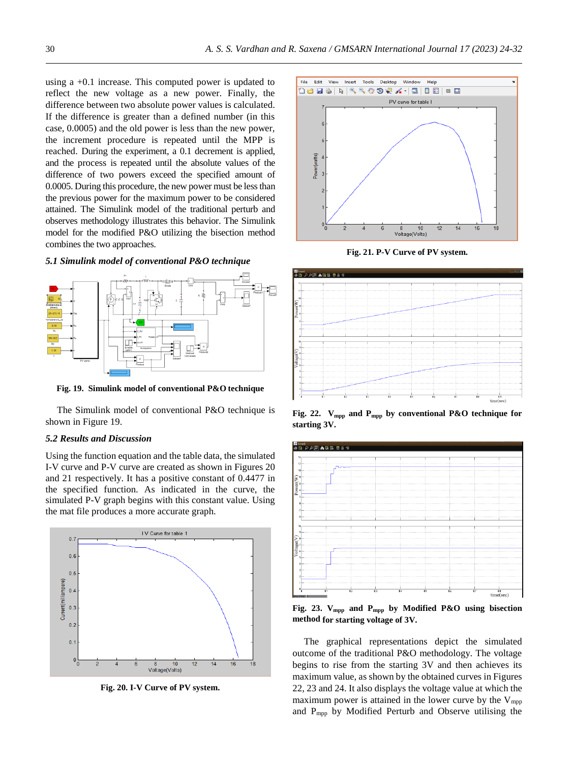using a +0.1 increase. This computed power is updated to reflect the new voltage as a new power. Finally, the difference between two absolute power values is calculated. If the difference is greater than a defined number (in this case, 0.0005) and the old power is less than the new power, the increment procedure is repeated until the MPP is reached. During the experiment, a 0.1 decrement is applied, and the process is repeated until the absolute values of the difference of two powers exceed the specified amount of 0.0005. During this procedure, the new power must be less than the previous power for the maximum power to be considered attained. The Simulink model of the traditional perturb and observes methodology illustrates this behavior. The Simulink model for the modified P&O utilizing the bisection method combines the two approaches.

### *5.1 Simulink model of conventional P&O technique*



**Fig. 19. Simulink model of conventional P&O technique**

The Simulink model of conventional P&O technique is shown in Figure 19.

#### *5.2 Results and Discussion*

Using the function equation and the table data, the simulated I-V curve and P-V curve are created as shown in Figures 20 and 21 respectively. It has a positive constant of 0.4477 in the specified function. As indicated in the curve, the simulated P-V graph begins with this constant value. Using the mat file produces a more accurate graph.



**Fig. 20. I-V Curve of PV system.**



**Fig. 21. P-V Curve of PV system.**



**Fig. 22. Vmpp and Pmpp by conventional P&O technique for starting 3V.**



**Fig. 23. Vmpp and Pmpp by Modified P&O using bisection method for starting voltage of 3V.**

The graphical representations depict the simulated outcome of the traditional P&O methodology. The voltage begins to rise from the starting 3V and then achieves its maximum value, as shown by the obtained curves in Figures 22, 23 and 24. It also displays the voltage value at which the maximum power is attained in the lower curve by the  $V_{mpp}$ and Pmpp by Modified Perturb and Observe utilising the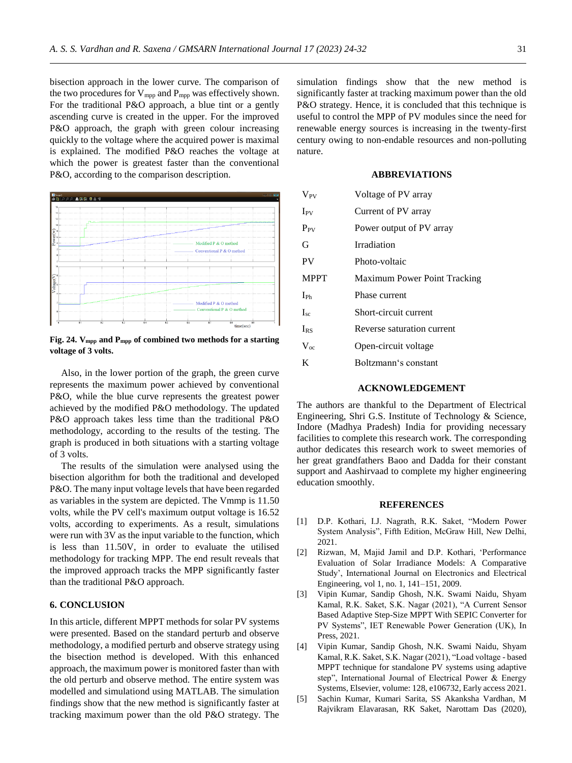bisection approach in the lower curve. The comparison of the two procedures for  $V_{mpp}$  and  $P_{mpp}$  was effectively shown. For the traditional P&O approach, a blue tint or a gently ascending curve is created in the upper. For the improved P&O approach, the graph with green colour increasing quickly to the voltage where the acquired power is maximal is explained. The modified P&O reaches the voltage at which the power is greatest faster than the conventional P&O, according to the comparison description.



**Fig. 24. Vmpp and Pmpp of combined two methods for a starting voltage of 3 volts.**

Also, in the lower portion of the graph, the green curve represents the maximum power achieved by conventional P&O, while the blue curve represents the greatest power achieved by the modified P&O methodology. The updated P&O approach takes less time than the traditional P&O methodology, according to the results of the testing. The graph is produced in both situations with a starting voltage of 3 volts.

The results of the simulation were analysed using the bisection algorithm for both the traditional and developed P&O. The many input voltage levels that have been regarded as variables in the system are depicted. The Vmmp is 11.50 volts, while the PV cell's maximum output voltage is 16.52 volts, according to experiments. As a result, simulations were run with 3V as the input variable to the function, which is less than 11.50V, in order to evaluate the utilised methodology for tracking MPP. The end result reveals that the improved approach tracks the MPP significantly faster than the traditional P&O approach.

## **6. CONCLUSION**

In this article, different MPPT methods for solar PV systems were presented. Based on the standard perturb and observe methodology, a modified perturb and observe strategy using the bisection method is developed. With this enhanced approach, the maximum power is monitored faster than with the old perturb and observe method. The entire system was modelled and simulationd using MATLAB. The simulation findings show that the new method is significantly faster at tracking maximum power than the old P&O strategy. The simulation findings show that the new method is significantly faster at tracking maximum power than the old P&O strategy. Hence, it is concluded that this technique is useful to control the MPP of PV modules since the need for renewable energy sources is increasing in the twenty-first century owing to non-endable resources and non-polluting nature.

### **ABBREVIATIONS**

| $V_{PV}$        | Voltage of PV array          |
|-----------------|------------------------------|
| $I_{PV}$        | Current of PV array          |
| $P_{PV}$        | Power output of PV array     |
| G               | Irradiation                  |
| <b>PV</b>       | Photo-voltaic                |
| <b>MPPT</b>     | Maximum Power Point Tracking |
| $I_{\text{Ph}}$ | Phase current                |
| $I_{sc}$        | Short-circuit current        |
| <b>IRS</b>      | Reverse saturation current   |
| $V_{\alpha c}$  | Open-circuit voltage         |
| K               | Boltzmann's constant         |

#### **ACKNOWLEDGEMENT**

The authors are thankful to the Department of Electrical Engineering, Shri G.S. Institute of Technology & Science, Indore (Madhya Pradesh) India for providing necessary facilities to complete this research work. The corresponding author dedicates this research work to sweet memories of her great grandfathers Baoo and Dadda for their constant support and Aashirvaad to complete my higher engineering education smoothly.

#### **REFERENCES**

- [1] D.P. Kothari, I.J. Nagrath, R.K. Saket, "Modern Power System Analysis", Fifth Edition, McGraw Hill, New Delhi, 2021.
- [2] Rizwan, M, Majid Jamil and D.P. Kothari, 'Performance Evaluation of Solar Irradiance Models: A Comparative Study', International Journal on Electronics and Electrical Engineering, vol 1, no. 1, 141–151, 2009.
- [3] Vipin Kumar, Sandip Ghosh, N.K. Swami Naidu, Shyam Kamal, R.K. Saket, S.K. Nagar (2021), "A Current Sensor Based Adaptive Step-Size MPPT With SEPIC Converter for PV Systems", IET Renewable Power Generation (UK), In Press, 2021.
- [4] Vipin Kumar, Sandip Ghosh, N.K. Swami Naidu, Shyam Kamal, R.K. Saket, S.K. Nagar (2021), "Load voltage - based MPPT technique for standalone PV systems using adaptive step", International Journal of Electrical Power & Energy Systems, Elsevier, volume: 128, e106732, Early access 2021.
- [5] Sachin Kumar, Kumari Sarita, SS Akanksha Vardhan, M Rajvikram Elavarasan, RK Saket, Narottam Das (2020),